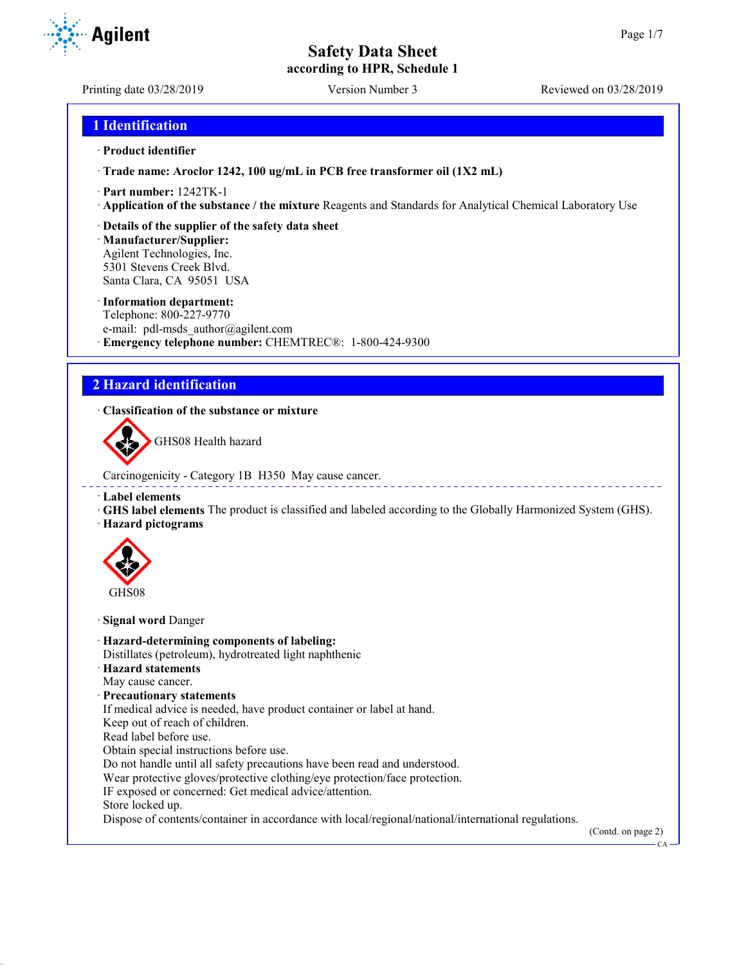**according to HPR, Schedule 1**

Printing date 03/28/2019 Version Number 3 Reviewed on 03/28/2019

# **1 Identification**

#### · **Product identifier**

· **Trade name: Aroclor 1242, 100 ug/mL in PCB free transformer oil (1X2 mL)**

- · **Part number:** 1242TK-1
- · **Application of the substance / the mixture** Reagents and Standards for Analytical Chemical Laboratory Use
- · **Details of the supplier of the safety data sheet**

· **Manufacturer/Supplier:** Agilent Technologies, Inc. 5301 Stevens Creek Blvd. Santa Clara, CA 95051 USA

#### · **Information department:**

Telephone: 800-227-9770 e-mail: pdl-msds author@agilent.com · **Emergency telephone number:** CHEMTREC®: 1-800-424-9300

# **2 Hazard identification**

## · **Classification of the substance or mixture**

GHS08 Health hazard

Carcinogenicity - Category 1B H350 May cause cancer.

#### · **Label elements**

· **GHS label elements** The product is classified and labeled according to the Globally Harmonized System (GHS). · **Hazard pictograms**



· **Signal word** Danger

- · **Hazard-determining components of labeling:** Distillates (petroleum), hydrotreated light naphthenic · **Hazard statements** May cause cancer. · **Precautionary statements** If medical advice is needed, have product container or label at hand. Keep out of reach of children. Read label before use. Obtain special instructions before use. Do not handle until all safety precautions have been read and understood. Wear protective gloves/protective clothing/eye protection/face protection.
- IF exposed or concerned: Get medical advice/attention.
- Store locked up.

Dispose of contents/container in accordance with local/regional/national/international regulations.

(Contd. on page 2)



CA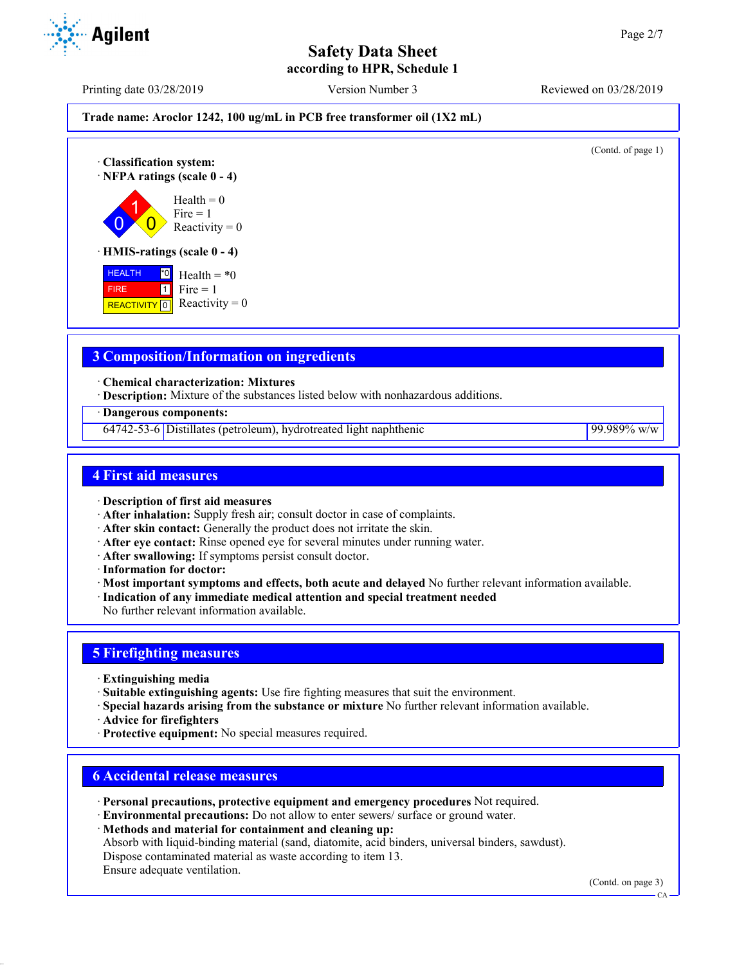**according to HPR, Schedule 1**



- · **Description of first aid measures**
- · **After inhalation:** Supply fresh air; consult doctor in case of complaints.
- · **After skin contact:** Generally the product does not irritate the skin.
- · **After eye contact:** Rinse opened eye for several minutes under running water.
- · **After swallowing:** If symptoms persist consult doctor.
- · **Information for doctor:**

**Agilent** 

- · **Most important symptoms and effects, both acute and delayed** No further relevant information available.
- · **Indication of any immediate medical attention and special treatment needed**
- No further relevant information available.

# **5 Firefighting measures**

- · **Extinguishing media**
- · **Suitable extinguishing agents:** Use fire fighting measures that suit the environment.
- · **Special hazards arising from the substance or mixture** No further relevant information available.
- · **Advice for firefighters**
- · **Protective equipment:** No special measures required.

# **6 Accidental release measures**

- · **Personal precautions, protective equipment and emergency procedures** Not required.
- · **Environmental precautions:** Do not allow to enter sewers/ surface or ground water.

· **Methods and material for containment and cleaning up:** Absorb with liquid-binding material (sand, diatomite, acid binders, universal binders, sawdust). Dispose contaminated material as waste according to item 13. Ensure adequate ventilation.

(Contd. on page 3)

CA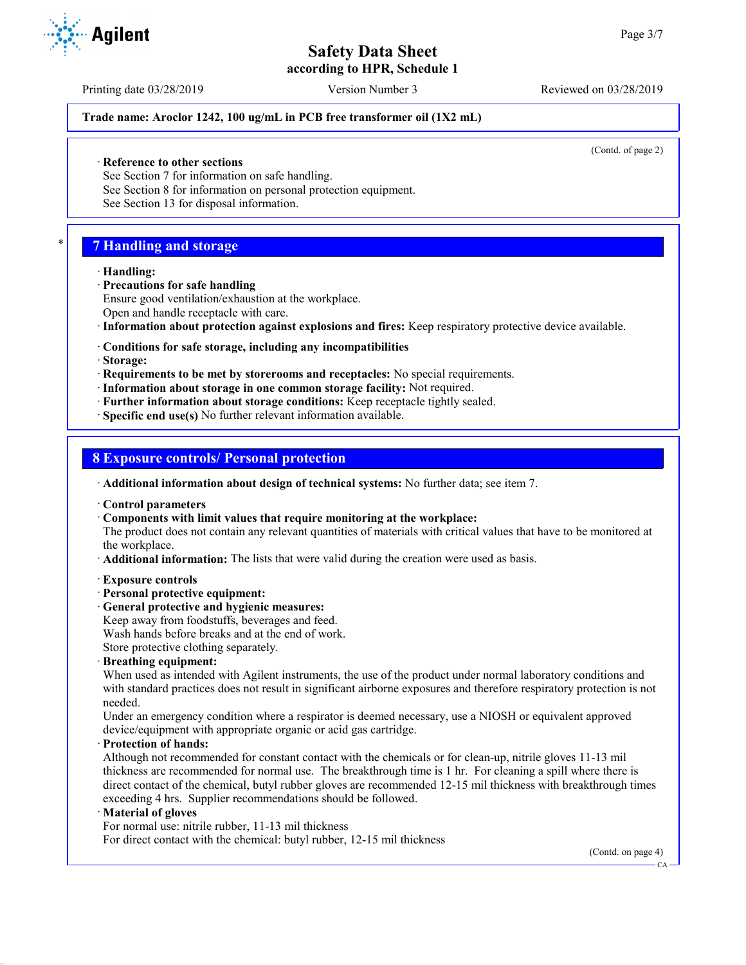**according to HPR, Schedule 1**

Printing date 03/28/2019 Version Number 3 Reviewed on 03/28/2019

## **Trade name: Aroclor 1242, 100 ug/mL in PCB free transformer oil (1X2 mL)**

(Contd. of page 2)

· **Reference to other sections**

See Section 7 for information on safe handling.

See Section 8 for information on personal protection equipment.

See Section 13 for disposal information.

# \* **7 Handling and storage**

#### · **Handling:**

- · **Precautions for safe handling**
- Ensure good ventilation/exhaustion at the workplace. Open and handle receptacle with care.
- · **Information about protection against explosions and fires:** Keep respiratory protective device available.
- · **Conditions for safe storage, including any incompatibilities**
- · **Storage:**
- · **Requirements to be met by storerooms and receptacles:** No special requirements.
- · **Information about storage in one common storage facility:** Not required.
- · **Further information about storage conditions:** Keep receptacle tightly sealed.

· **Specific end use(s)** No further relevant information available.

# **8 Exposure controls/ Personal protection**

- · **Additional information about design of technical systems:** No further data; see item 7.
- · **Control parameters**
- · **Components with limit values that require monitoring at the workplace:**

The product does not contain any relevant quantities of materials with critical values that have to be monitored at the workplace.

- · **Additional information:** The lists that were valid during the creation were used as basis.
- · **Exposure controls**
- · **Personal protective equipment:**
- · **General protective and hygienic measures:**
- Keep away from foodstuffs, beverages and feed.

Wash hands before breaks and at the end of work.

Store protective clothing separately.

· **Breathing equipment:**

When used as intended with Agilent instruments, the use of the product under normal laboratory conditions and with standard practices does not result in significant airborne exposures and therefore respiratory protection is not needed.

Under an emergency condition where a respirator is deemed necessary, use a NIOSH or equivalent approved device/equipment with appropriate organic or acid gas cartridge.

# · **Protection of hands:**

Although not recommended for constant contact with the chemicals or for clean-up, nitrile gloves 11-13 mil thickness are recommended for normal use. The breakthrough time is 1 hr. For cleaning a spill where there is direct contact of the chemical, butyl rubber gloves are recommended 12-15 mil thickness with breakthrough times exceeding 4 hrs. Supplier recommendations should be followed.

#### · **Material of gloves**

For normal use: nitrile rubber, 11-13 mil thickness For direct contact with the chemical: butyl rubber, 12-15 mil thickness

(Contd. on page 4)



CA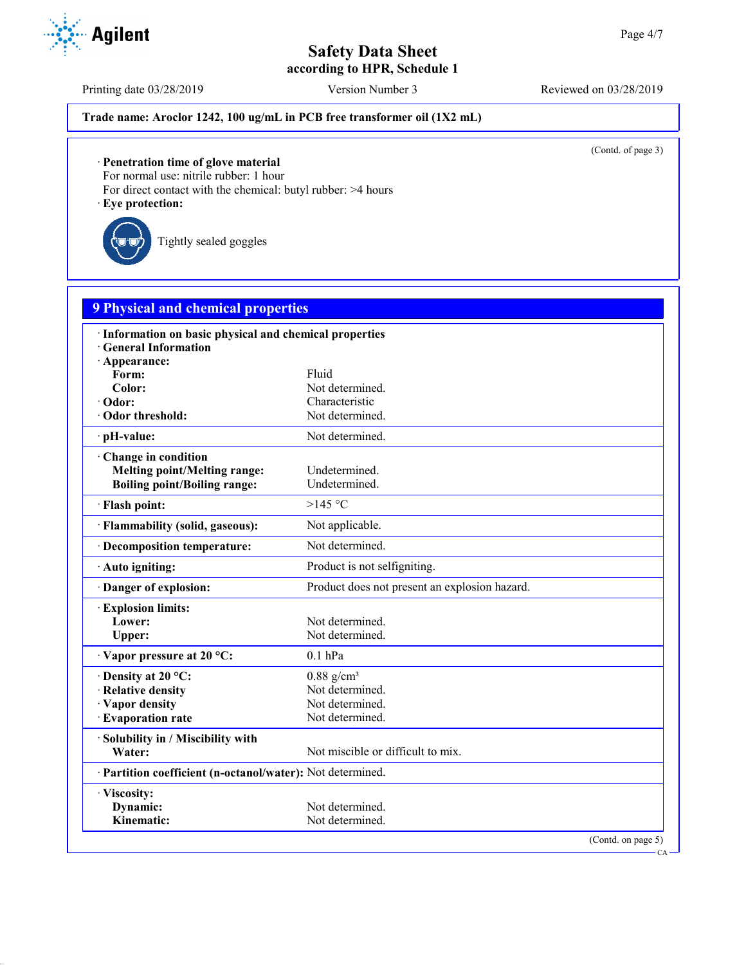**according to HPR, Schedule 1**

Printing date 03/28/2019 Version Number 3 Reviewed on 03/28/2019

# **Trade name: Aroclor 1242, 100 ug/mL in PCB free transformer oil (1X2 mL)**

(Contd. of page 3)

CA

· **Penetration time of glove material**

For normal use: nitrile rubber: 1 hour

For direct contact with the chemical: butyl rubber: >4 hours

· **Eye protection:**

Tightly sealed goggles

| <b>9 Physical and chemical properties</b> |  |  |  |
|-------------------------------------------|--|--|--|
|                                           |  |  |  |

| · Information on basic physical and chemical properties    |                                               |  |  |
|------------------------------------------------------------|-----------------------------------------------|--|--|
| <b>General Information</b>                                 |                                               |  |  |
| · Appearance:                                              |                                               |  |  |
| Form:                                                      | Fluid                                         |  |  |
| Color:                                                     | Not determined.                               |  |  |
| · Odor:                                                    | Characteristic                                |  |  |
| Odor threshold:                                            | Not determined.                               |  |  |
| · pH-value:                                                | Not determined.                               |  |  |
| Change in condition                                        |                                               |  |  |
| <b>Melting point/Melting range:</b>                        | Undetermined.                                 |  |  |
| <b>Boiling point/Boiling range:</b>                        | Undetermined.                                 |  |  |
| · Flash point:                                             | >145 °C                                       |  |  |
| · Flammability (solid, gaseous):                           | Not applicable.                               |  |  |
| · Decomposition temperature:                               | Not determined.                               |  |  |
| · Auto igniting:                                           | Product is not selfigniting.                  |  |  |
| · Danger of explosion:                                     | Product does not present an explosion hazard. |  |  |
| <b>Explosion limits:</b>                                   |                                               |  |  |
| Lower:                                                     | Not determined.                               |  |  |
| Upper:                                                     | Not determined.                               |  |  |
| Vapor pressure at 20 °C:                                   | $0.1$ hPa                                     |  |  |
| $\cdot$ Density at 20 °C:                                  | $0.88$ g/cm <sup>3</sup>                      |  |  |
| · Relative density                                         | Not determined.                               |  |  |
| · Vapor density                                            | Not determined.                               |  |  |
| · Evaporation rate                                         | Not determined.                               |  |  |
| · Solubility in / Miscibility with                         |                                               |  |  |
| Water:                                                     | Not miscible or difficult to mix.             |  |  |
| · Partition coefficient (n-octanol/water): Not determined. |                                               |  |  |
| · Viscosity:                                               |                                               |  |  |
| Dynamic:                                                   | Not determined.                               |  |  |
| Kinematic:                                                 | Not determined.                               |  |  |
|                                                            | (Contd. on page 5)                            |  |  |

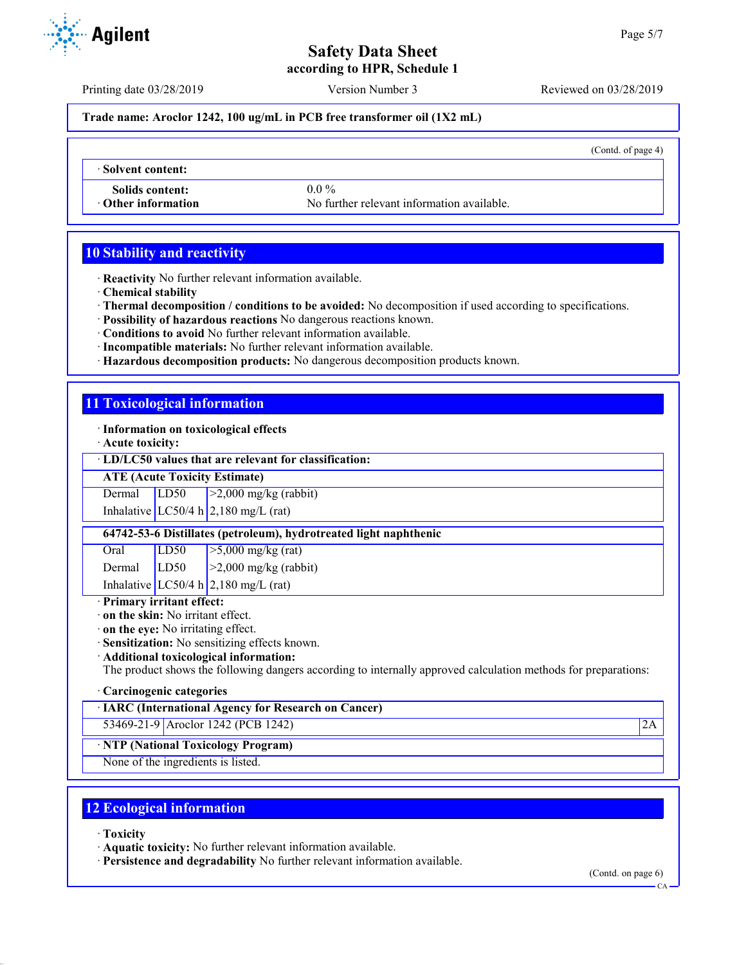**according to HPR, Schedule 1**

Printing date 03/28/2019 Version Number 3 Reviewed on 03/28/2019

**Trade name: Aroclor 1242, 100 ug/mL in PCB free transformer oil (1X2 mL)**

(Contd. of page 4)

· **Solvent content:**

**Solids content:** 0.0 %

· **Other information** No further relevant information available.

# **10 Stability and reactivity**

- · **Reactivity** No further relevant information available.
- · **Chemical stability**
- · **Thermal decomposition / conditions to be avoided:** No decomposition if used according to specifications.
- · **Possibility of hazardous reactions** No dangerous reactions known.
- · **Conditions to avoid** No further relevant information available.
- · **Incompatible materials:** No further relevant information available.
- · **Hazardous decomposition products:** No dangerous decomposition products known.

# **11 Toxicological information**

· **Information on toxicological effects**

· **Acute toxicity:**

## · **LD/LC50 values that are relevant for classification:**

**ATE (Acute Toxicity Estimate)**

Dermal  $LD50$   $>2,000$  mg/kg (rabbit)

Inhalative  $LC50/4$  h  $2,180$  mg/L (rat)

**64742-53-6 Distillates (petroleum), hydrotreated light naphthenic**

| Oral   | LD50 | $\frac{5,000 \text{ mg/kg}}{(\text{rat})}$ |
|--------|------|--------------------------------------------|
| Dermal | LD50 | $\vert$ >2,000 mg/kg (rabbit)              |
|        |      | Inhalative LC50/4 h $2,180$ mg/L (rat)     |

# · **Primary irritant effect:**

· **on the skin:** No irritant effect.

· **on the eye:** No irritating effect.

· **Sensitization:** No sensitizing effects known.

· **Additional toxicological information:**

The product shows the following dangers according to internally approved calculation methods for preparations:

# · **Carcinogenic categories**

· **IARC (International Agency for Research on Cancer)**

53469-21-9 Aroclor 1242 (PCB 1242) 2A

# · **NTP (National Toxicology Program)**

None of the ingredients is listed.

# **12 Ecological information**

· **Toxicity**

· **Aquatic toxicity:** No further relevant information available.

· **Persistence and degradability** No further relevant information available.

(Contd. on page 6)



CA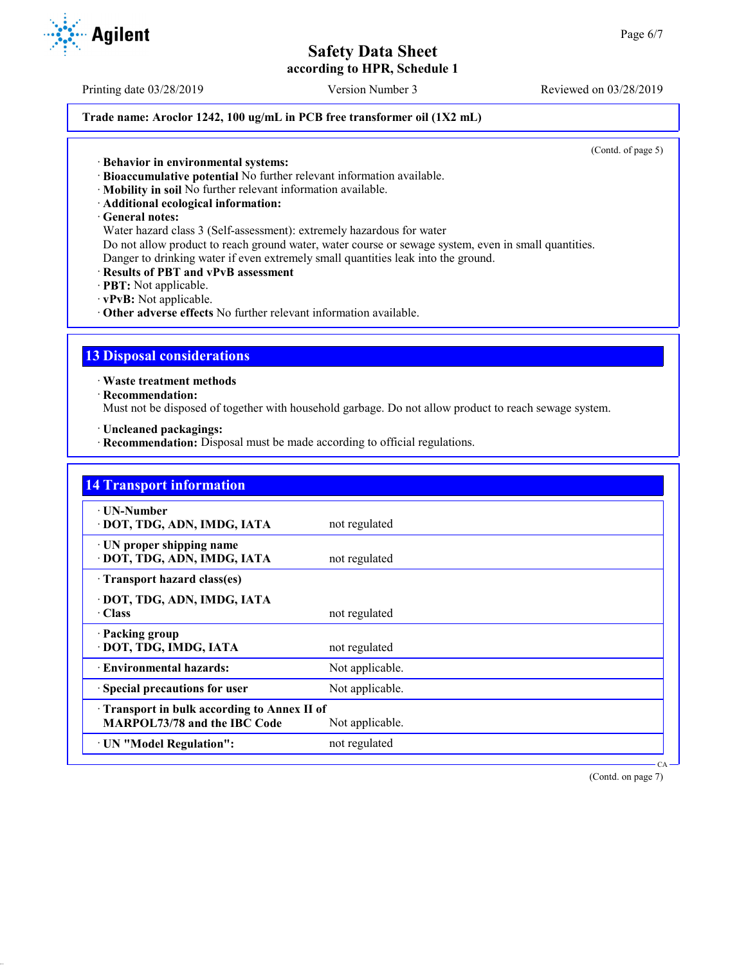**according to HPR, Schedule 1**

Printing date 03/28/2019 Version Number 3 Reviewed on 03/28/2019

# **Trade name: Aroclor 1242, 100 ug/mL in PCB free transformer oil (1X2 mL)**

(Contd. of page 5)

· **Behavior in environmental systems:**

- · **Bioaccumulative potential** No further relevant information available.
- · **Mobility in soil** No further relevant information available.
- · **Additional ecological information:**
- · **General notes:**

Water hazard class 3 (Self-assessment): extremely hazardous for water Do not allow product to reach ground water, water course or sewage system, even in small quantities. Danger to drinking water if even extremely small quantities leak into the ground.

- · **Results of PBT and vPvB assessment**
- · **PBT:** Not applicable.
- · **vPvB:** Not applicable.
- · **Other adverse effects** No further relevant information available.

# **13 Disposal considerations**

· **Waste treatment methods**

· **Recommendation:**

Must not be disposed of together with household garbage. Do not allow product to reach sewage system.

· **Uncleaned packagings:**

· **Recommendation:** Disposal must be made according to official regulations.

| <b>14 Transport information</b>                                            |                 |
|----------------------------------------------------------------------------|-----------------|
| ∙ UN-Number<br>· DOT, TDG, ADN, IMDG, IATA                                 | not regulated   |
| · UN proper shipping name<br>· DOT, TDG, ADN, IMDG, IATA                   | not regulated   |
| Transport hazard class(es)                                                 |                 |
| · DOT, TDG, ADN, IMDG, IATA<br>· Class                                     | not regulated   |
| · Packing group<br>· DOT, TDG, IMDG, IATA                                  | not regulated   |
| · Environmental hazards:                                                   | Not applicable. |
| Special precautions for user                                               | Not applicable. |
| Transport in bulk according to Annex II of<br>MARPOL73/78 and the IBC Code | Not applicable. |
| · UN "Model Regulation":                                                   | not regulated   |

(Contd. on page 7)

CA